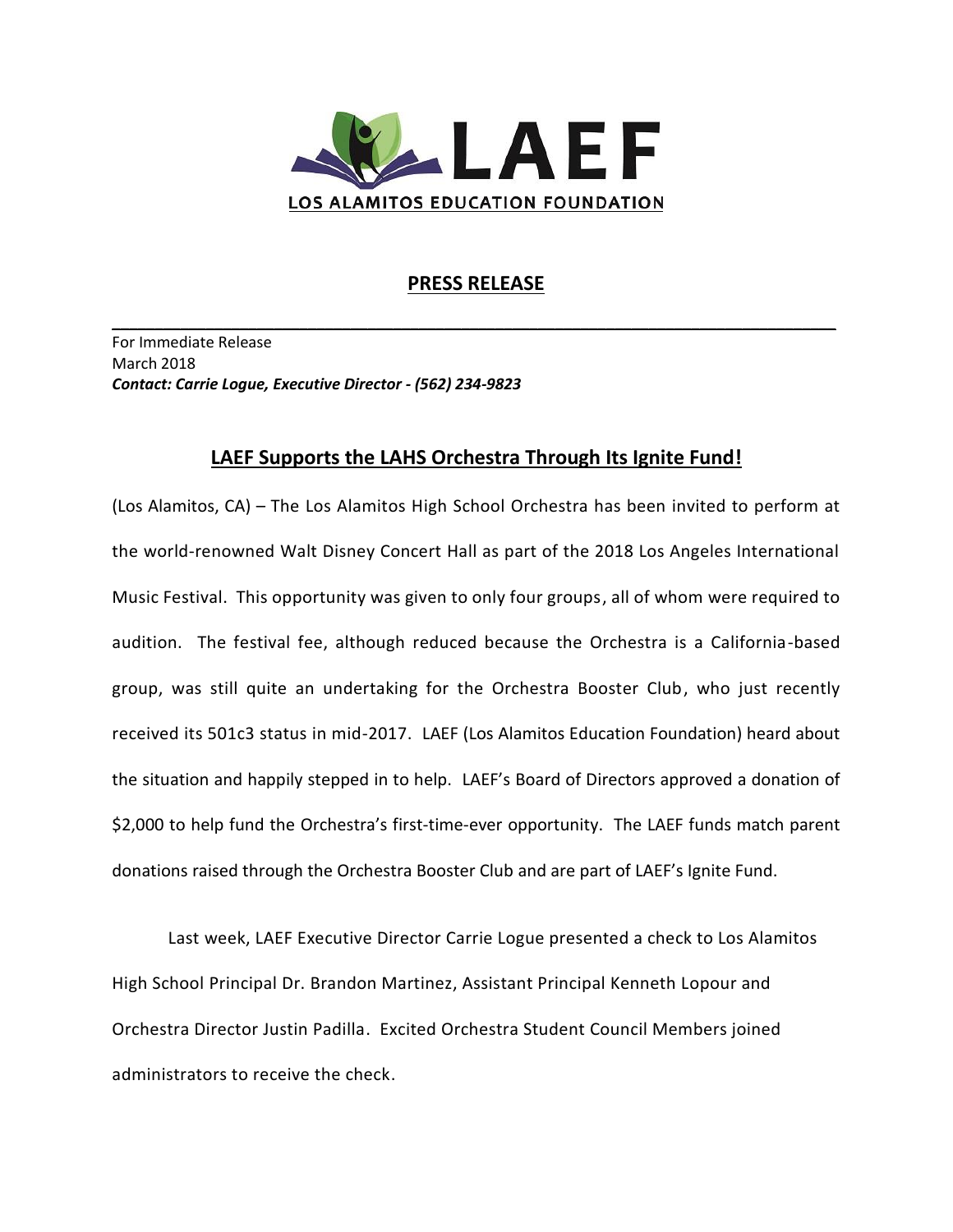

## **PRESS RELEASE**

**\_\_\_\_\_\_\_\_\_\_\_\_\_\_\_\_\_\_\_\_\_\_\_\_\_\_\_\_\_\_\_\_\_\_\_\_\_\_\_\_\_\_\_\_\_\_\_\_\_\_\_\_\_\_\_\_\_\_\_\_\_\_\_\_\_\_\_\_\_\_\_\_\_\_\_\_\_\_\_\_\_\_\_\_\_**

For Immediate Release March 2018 *Contact: Carrie Logue, Executive Director - (562) 234-9823*

## **LAEF Supports the LAHS Orchestra Through Its Ignite Fund!**

(Los Alamitos, CA) – The Los Alamitos High School Orchestra has been invited to perform at the world-renowned Walt Disney Concert Hall as part of the 2018 Los Angeles International Music Festival. This opportunity was given to only four groups, all of whom were required to audition. The festival fee, although reduced because the Orchestra is a California-based group, was still quite an undertaking for the Orchestra Booster Club, who just recently received its 501c3 status in mid-2017. LAEF (Los Alamitos Education Foundation) heard about the situation and happily stepped in to help. LAEF's Board of Directors approved a donation of \$2,000 to help fund the Orchestra's first-time-ever opportunity. The LAEF funds match parent donations raised through the Orchestra Booster Club and are part of LAEF's Ignite Fund.

Last week, LAEF Executive Director Carrie Logue presented a check to Los Alamitos High School Principal Dr. Brandon Martinez, Assistant Principal Kenneth Lopour and Orchestra Director Justin Padilla. Excited Orchestra Student Council Members joined administrators to receive the check.